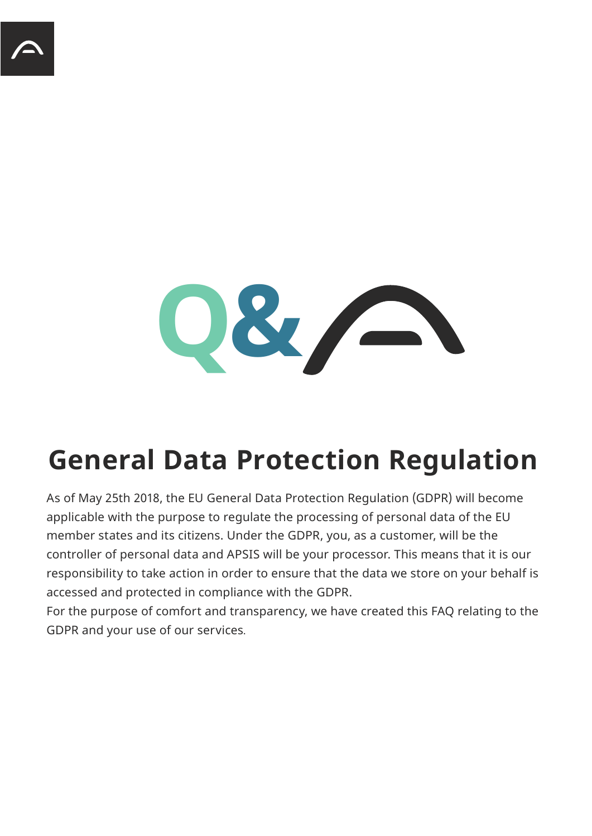

## **General Data Protection Regulation**

As of May 25th 2018, the EU General Data Protection Regulation (GDPR) will become applicable with the purpose to regulate the processing of personal data of the EU member states and its citizens. Under the GDPR, you, as a customer, will be the controller of personal data and APSIS will be your processor. This means that it is our responsibility to take action in order to ensure that the data we store on your behalf is accessed and protected in compliance with the GDPR.

For the purpose of comfort and transparency, we have created this FAQ relating to the GDPR and your use of our services.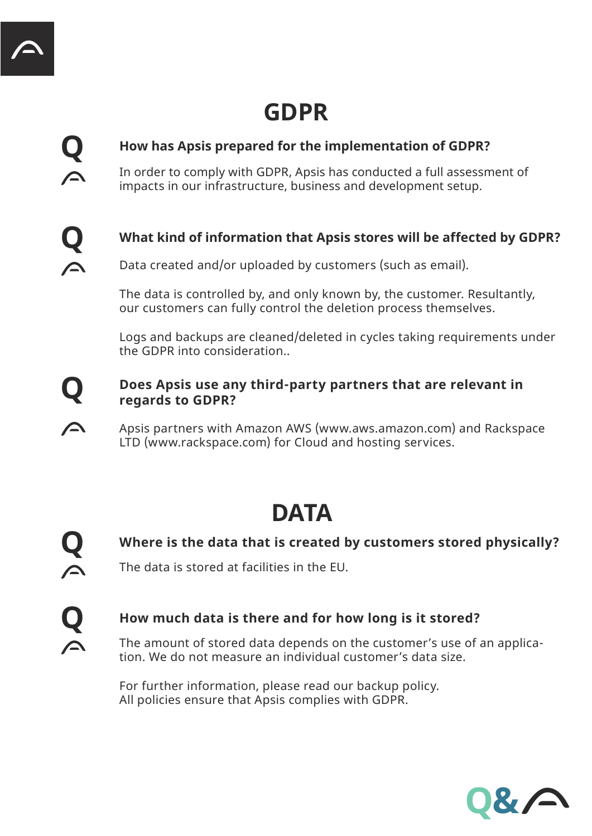**Q**

**Q**

### **GDPR**

### **How has Apsis prepared for the implementation of GDPR?**

In order to comply with GDPR, Apsis has conducted a full assessment of impacts in our infrastructure, business and development setup.

### **What kind of information that Apsis stores will be affected by GDPR?**

Data created and/or uploaded by customers (such as email).

The data is controlled by, and only known by, the customer. Resultantly, our customers can fully control the deletion process themselves.

Logs and backups are cleaned/deleted in cycles taking requirements under the GDPR into consideration..

#### **Q Does Apsis use any third-party partners that are relevant in regards to GDPR?**

Apsis partners with Amazon AWS (www.aws.amazon.com) and Rackspace LTD (www.rackspace.com) for Cloud and hosting services.

### **DATA**

**Q**

 $\blacktriangle$ 

 $\blacktriangle$ 

**Where is the data that is created by customers stored physically?** 

The data is stored at facilities in the EU.

### **Q How much data is there and for how long is it stored?**

The amount of stored data depends on the customer's use of an application. We do not measure an individual customer's data size.

For further information, please read our backup policy. All policies ensure that Apsis complies with GDPR.

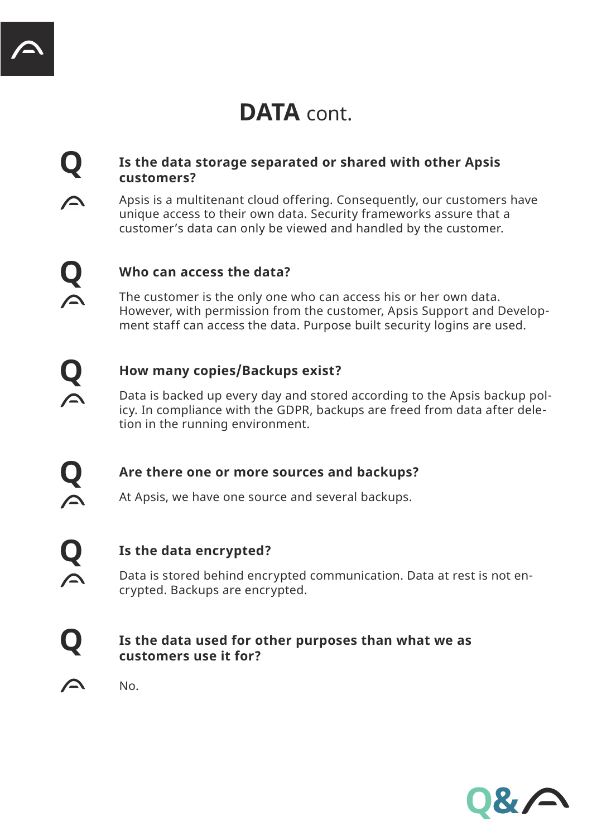### DATA cont.

#### **Q Is the data storage separated or shared with other Apsis customers?**

Apsis is a multitenant cloud offering. Consequently, our customers have unique access to their own data. Security frameworks assure that a customer's data can only be viewed and handled by the customer.

 $\triangle$ 

 $\blacktriangle$ 

**Q**

 $\blacktriangle$ 

 $\curvearrowright$ 

 $\curvearrowright$ 

 $\triangle$ 

#### **Q Who can access the data?**

The customer is the only one who can access his or her own data. However, with permission from the customer, Apsis Support and Development staff can access the data. Purpose built security logins are used.

#### **Q How many copies/Backups exist?**

Data is backed up every day and stored according to the Apsis backup policy. In compliance with the GDPR, backups are freed from data after deletion in the running environment.

**Are there one or more sources and backups?** 

At Apsis, we have one source and several backups.

**Q Is the data encrypted?** 

Data is stored behind encrypted communication. Data at rest is not encrypted. Backups are encrypted.

#### **Q Is the data used for other purposes than what we as customers use it for?**

No.

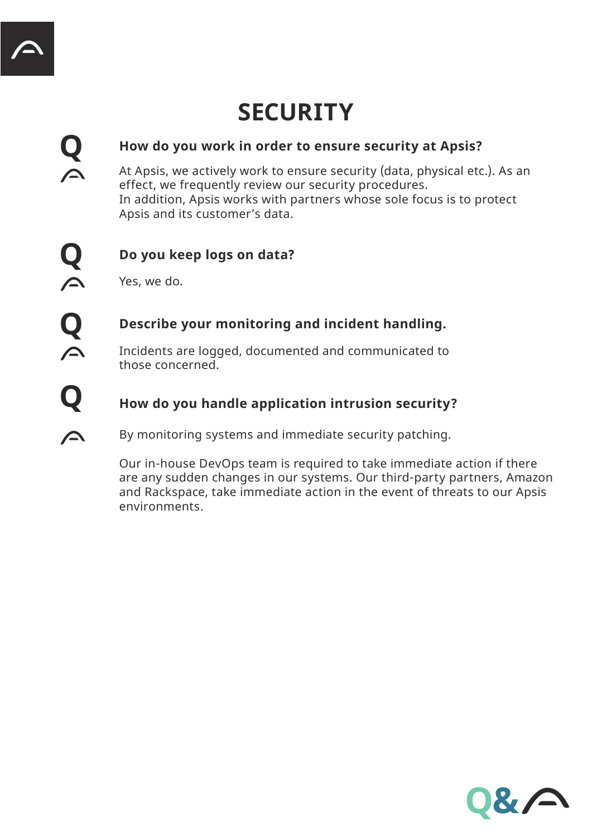### **SECURITY**

#### **Q How do you work in order to ensure security at Apsis?**

At Apsis, we actively work to ensure security (data, physical etc.). As an effect, we frequently review our security procedures. In addition, Apsis works with partners whose sole focus is to protect Apsis and its customer's data.

 $\triangle$ 

 $\curvearrowright$ 

### **Q Do you keep logs on data?**

Yes, we do.

# **Q Describe your monitoring and incident handling.**<br> **C** Incidents are logged, documented and communicated to

Incidents are logged, documented and communicated to those concerned.

### **Q How do you handle application intrusion security?**

By monitoring systems and immediate security patching.

Our in-house DevOps team is required to take immediate action if there are any sudden changes in our systems. Our third-party partners, Amazon and Rackspace, take immediate action in the event of threats to our Apsis environments.